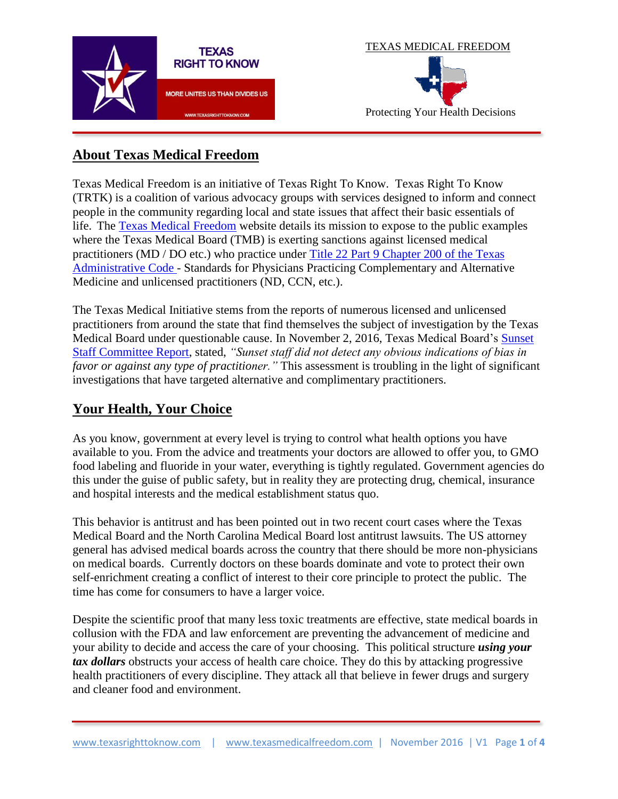



# **About Texas Medical Freedom**

Texas Medical Freedom is an initiative of Texas Right To Know. Texas Right To Know (TRTK) is a coalition of various advocacy groups with services designed to inform and connect people in the community regarding local and state issues that affect their basic essentials of life. The [Texas Medical Freedom](http://www.texasmedicalfreedom.com/) website details its mission to expose to the public examples where the Texas Medical Board (TMB) is exerting sanctions against licensed medical practitioners (MD / DO etc.) who practice under [Title 22 Part 9 Chapter 200 of the Texas](http://texreg.sos.state.tx.us/public/readtac$ext.ViewTAC?tac_view=4&ti=22&pt=9&ch=200&rl=Y)  [Administrative Code -](http://texreg.sos.state.tx.us/public/readtac$ext.ViewTAC?tac_view=4&ti=22&pt=9&ch=200&rl=Y) Standards for Physicians Practicing Complementary and Alternative Medicine and unlicensed practitioners (ND, CCN, etc.).

The Texas Medical Initiative stems from the reports of numerous licensed and unlicensed practitioners from around the state that find themselves the subject of investigation by the Texas Medical Board under questionable cause. In November 2, 2016, Texas Medical Board's [Sunset](https://www.sunset.texas.gov/reviews-and-reports/agencies/texas-medical-board)  [Staff Committee Report,](https://www.sunset.texas.gov/reviews-and-reports/agencies/texas-medical-board) stated, *"Sunset staff did not detect any obvious indications of bias in favor or against any type of practitioner."* This assessment is troubling in the light of significant investigations that have targeted alternative and complimentary practitioners.

# **Your Health, Your Choice**

As you know, government at every level is trying to control what health options you have available to you. From the advice and treatments your doctors are allowed to offer you, to GMO food labeling and fluoride in your water, everything is tightly regulated. Government agencies do this under the guise of public safety, but in reality they are protecting drug, chemical, insurance and hospital interests and the medical establishment status quo.

This behavior is antitrust and has been pointed out in two recent court cases where the Texas Medical Board and the North Carolina Medical Board lost antitrust lawsuits. The US attorney general has advised medical boards across the country that there should be more non-physicians on medical boards. Currently doctors on these boards dominate and vote to protect their own self-enrichment creating a conflict of interest to their core principle to protect the public. The time has come for consumers to have a larger voice.

Despite the scientific proof that many less toxic treatments are effective, state medical boards in collusion with the FDA and law enforcement are preventing the advancement of medicine and your ability to decide and access the care of your choosing. This political structure *using your tax dollars* obstructs your access of health care choice. They do this by attacking progressive health practitioners of every discipline. They attack all that believe in fewer drugs and surgery and cleaner food and environment.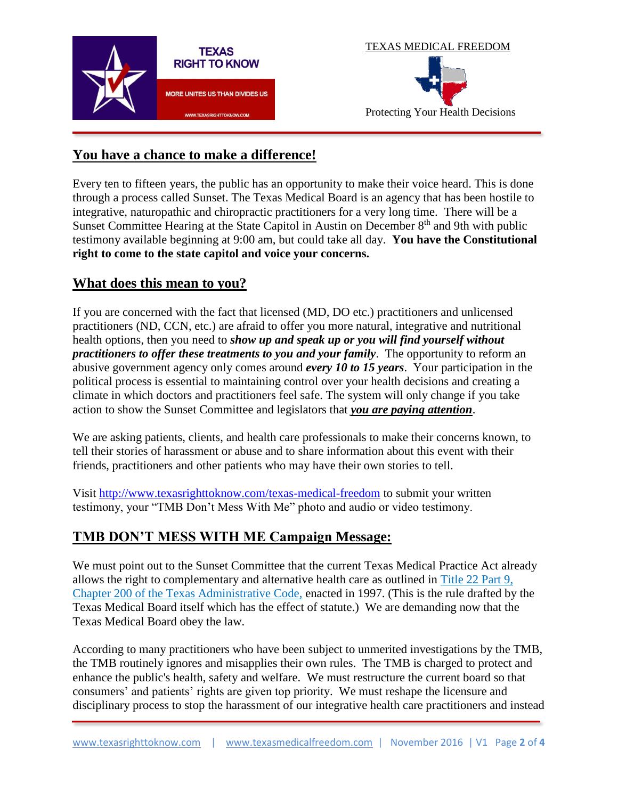



### **You have a chance to make a difference!**

Every ten to fifteen years, the public has an opportunity to make their voice heard. This is done through a process called Sunset. The Texas Medical Board is an agency that has been hostile to integrative, naturopathic and chiropractic practitioners for a very long time. There will be a Sunset Committee Hearing at the State Capitol in Austin on December 8<sup>th</sup> and 9th with public testimony available beginning at 9:00 am, but could take all day. **You have the Constitutional right to come to the state capitol and voice your concerns.**

#### **What does this mean to you?**

If you are concerned with the fact that licensed (MD, DO etc.) practitioners and unlicensed practitioners (ND, CCN, etc.) are afraid to offer you more natural, integrative and nutritional health options, then you need to *show up and speak up or you will find yourself without practitioners to offer these treatments to you and your family*. The opportunity to reform an abusive government agency only comes around *every 10 to 15 years*. Your participation in the political process is essential to maintaining control over your health decisions and creating a climate in which doctors and practitioners feel safe. The system will only change if you take action to show the Sunset Committee and legislators that *you are paying attention*.

We are asking patients, clients, and health care professionals to make their concerns known, to tell their stories of harassment or abuse and to share information about this event with their friends, practitioners and other patients who may have their own stories to tell.

Visit<http://www.texasrighttoknow.com/texas-medical-freedom> to submit your written testimony, your "TMB Don't Mess With Me" photo and audio or video testimony.

## **TMB DON'T MESS WITH ME Campaign Message:**

We must point out to the Sunset Committee that the current Texas Medical Practice Act already allows the right to complementary and alternative health care as outlined in [Title 22 Part 9,](http://texreg.sos.state.tx.us/public/readtac$ext.TacPage?sl=R&app=9&p_dir=&p_rloc=&p_tloc=&p_ploc=&pg=1&p_tac=&ti=22&pt=9&ch=200&rl=1)  [Chapter 200 of the Texas Administrative Code,](http://texreg.sos.state.tx.us/public/readtac$ext.TacPage?sl=R&app=9&p_dir=&p_rloc=&p_tloc=&p_ploc=&pg=1&p_tac=&ti=22&pt=9&ch=200&rl=1) enacted in 1997. (This is the rule drafted by the Texas Medical Board itself which has the effect of statute.) We are demanding now that the Texas Medical Board obey the law.

According to many practitioners who have been subject to unmerited investigations by the TMB, the TMB routinely ignores and misapplies their own rules. The TMB is charged to protect and enhance the public's health, safety and welfare. We must restructure the current board so that consumers' and patients' rights are given top priority. We must reshape the licensure and disciplinary process to stop the harassment of our integrative health care practitioners and instead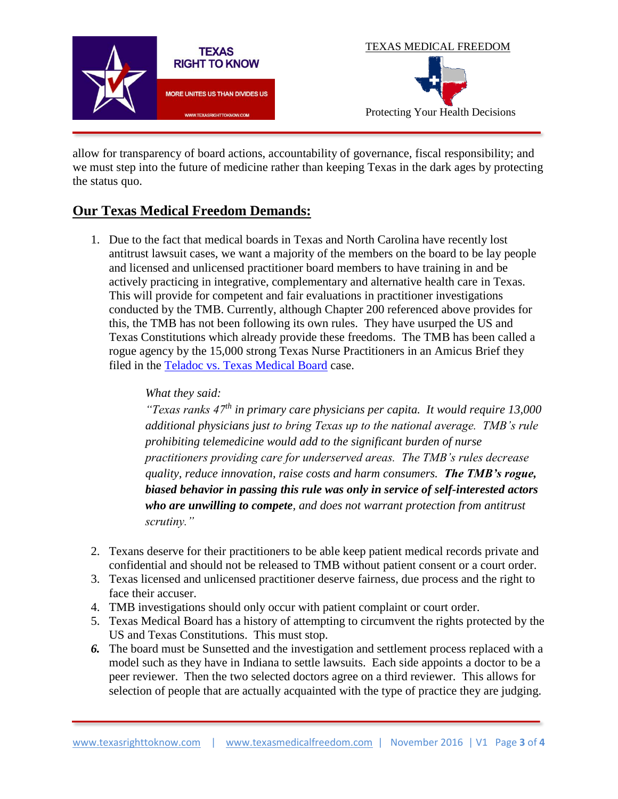

allow for transparency of board actions, accountability of governance, fiscal responsibility; and we must step into the future of medicine rather than keeping Texas in the dark ages by protecting the status quo.

## **Our Texas Medical Freedom Demands:**

1. Due to the fact that medical boards in Texas and North Carolina have recently lost antitrust lawsuit cases, we want a majority of the members on the board to be lay people and licensed and unlicensed practitioner board members to have training in and be actively practicing in integrative, complementary and alternative health care in Texas. This will provide for competent and fair evaluations in practitioner investigations conducted by the TMB. Currently, although Chapter 200 referenced above provides for this, the TMB has not been following its own rules. They have usurped the US and Texas Constitutions which already provide these freedoms. The TMB has been called a rogue agency by the 15,000 strong Texas Nurse Practitioners in an Amicus Brief they filed in the [Teladoc vs. Texas Medical Board](https://www.teladoc.com/news/2015/05/29/federal-court-rules-in-favor-of-teladoc/) case.

#### *What they said:*

*"Texas ranks 47th in primary care physicians per capita. It would require 13,000 additional physicians just to bring Texas up to the national average. TMB's rule prohibiting telemedicine would add to the significant burden of nurse practitioners providing care for underserved areas. The TMB's rules decrease quality, reduce innovation, raise costs and harm consumers. The TMB's rogue, biased behavior in passing this rule was only in service of self-interested actors who are unwilling to compete, and does not warrant protection from antitrust scrutiny."*

- 2. Texans deserve for their practitioners to be able keep patient medical records private and confidential and should not be released to TMB without patient consent or a court order.
- 3. Texas licensed and unlicensed practitioner deserve fairness, due process and the right to face their accuser.
- 4. TMB investigations should only occur with patient complaint or court order.
- 5. Texas Medical Board has a history of attempting to circumvent the rights protected by the US and Texas Constitutions. This must stop.
- *6.* The board must be Sunsetted and the investigation and settlement process replaced with a model such as they have in Indiana to settle lawsuits. Each side appoints a doctor to be a peer reviewer. Then the two selected doctors agree on a third reviewer. This allows for selection of people that are actually acquainted with the type of practice they are judging.